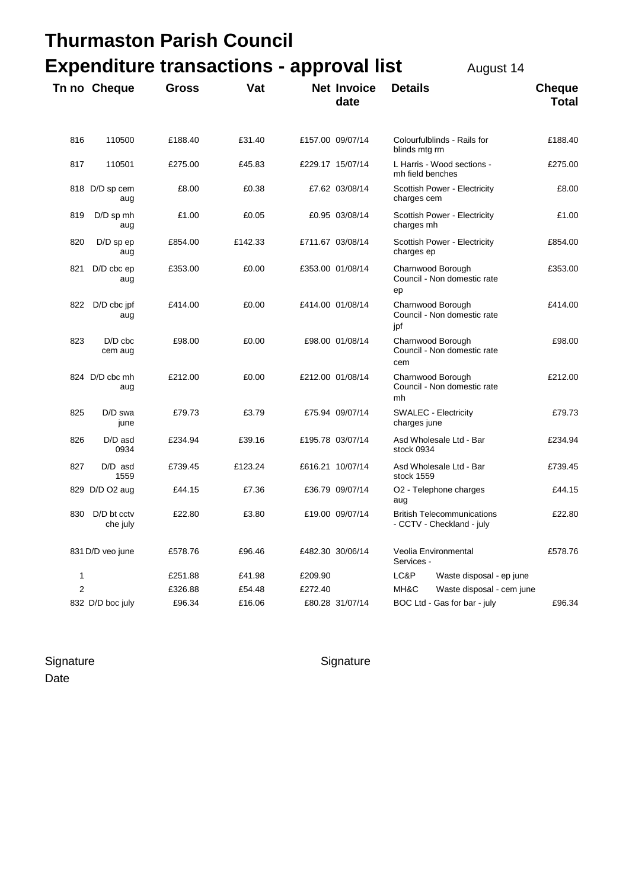## **Thurmaston Parish Council Expenditure transactions - approval list August 14**

**The Cheque Cross Vat Net Invoice Details Cheque Cross** Vat **Net Invoice** Details

| , , , , , , , ,                |  | $1$ $u$ yuu $1$        |  |  |  |  |
|--------------------------------|--|------------------------|--|--|--|--|
| <b>Invoice Details</b><br>date |  | <b>Cheque</b><br>Total |  |  |  |  |
|                                |  |                        |  |  |  |  |

| 816            | 110500                  | £188.40 | £31.40  |         | £157.00 09/07/14 | Colourfulblinds - Rails for<br>blinds mtg rm                   | £188.40 |
|----------------|-------------------------|---------|---------|---------|------------------|----------------------------------------------------------------|---------|
| 817            | 110501                  | £275.00 | £45.83  |         | £229.17 15/07/14 | L Harris - Wood sections -<br>mh field benches                 | £275.00 |
|                | 818 D/D sp cem<br>aug   | £8.00   | £0.38   |         | £7.62 03/08/14   | Scottish Power - Electricity<br>charges cem                    | £8.00   |
| 819            | D/D sp mh<br>aug        | £1.00   | £0.05   |         | £0.95 03/08/14   | Scottish Power - Electricity<br>charges mh                     | £1.00   |
| 820            | D/D sp ep<br>aug        | £854.00 | £142.33 |         | £711.67 03/08/14 | Scottish Power - Electricity<br>charges ep                     | £854.00 |
| 821            | D/D cbc ep<br>aug       | £353.00 | £0.00   |         | £353.00 01/08/14 | Charnwood Borough<br>Council - Non domestic rate<br>ep         | £353.00 |
| 822            | $D/D$ cbc jpf<br>aug    | £414.00 | £0.00   |         | £414.00 01/08/14 | Charnwood Borough<br>Council - Non domestic rate<br>jpf        | £414.00 |
| 823            | D/D cbc<br>cem aug      | £98.00  | £0.00   |         | £98.00 01/08/14  | Charnwood Borough<br>Council - Non domestic rate<br>cem        | £98.00  |
|                | 824 D/D cbc mh<br>aug   | £212.00 | £0.00   |         | £212.00 01/08/14 | Charnwood Borough<br>Council - Non domestic rate<br>mh         | £212.00 |
| 825            | D/D swa<br>june         | £79.73  | £3.79   |         | £75.94 09/07/14  | <b>SWALEC - Electricity</b><br>charges june                    | £79.73  |
| 826            | D/D asd<br>0934         | £234.94 | £39.16  |         | £195.78 03/07/14 | Asd Wholesale Ltd - Bar<br>stock 0934                          | £234.94 |
| 827            | $D/D$ asd<br>1559       | £739.45 | £123.24 |         | £616.21 10/07/14 | Asd Wholesale Ltd - Bar<br>stock 1559                          | £739.45 |
|                | 829 D/D O2 aug          | £44.15  | £7.36   |         | £36.79 09/07/14  | O <sub>2</sub> - Telephone charges<br>aug                      | £44.15  |
| 830            | D/D bt cctv<br>che july | £22.80  | £3.80   |         | £19.00 09/07/14  | <b>British Telecommunications</b><br>- CCTV - Checkland - july | £22.80  |
|                | 831 D/D veo june        | £578.76 | £96.46  |         | £482.30 30/06/14 | Veolia Environmental<br>Services -                             | £578.76 |
| 1              |                         | £251.88 | £41.98  | £209.90 |                  | LC&P<br>Waste disposal - ep june                               |         |
| $\overline{2}$ |                         | £326.88 | £54.48  | £272.40 |                  | MH&C<br>Waste disposal - cem june                              |         |
|                | 832 D/D boc july        | £96.34  | £16.06  |         | £80.28 31/07/14  | BOC Ltd - Gas for bar - july                                   | £96.34  |

Signature Signature Signature Date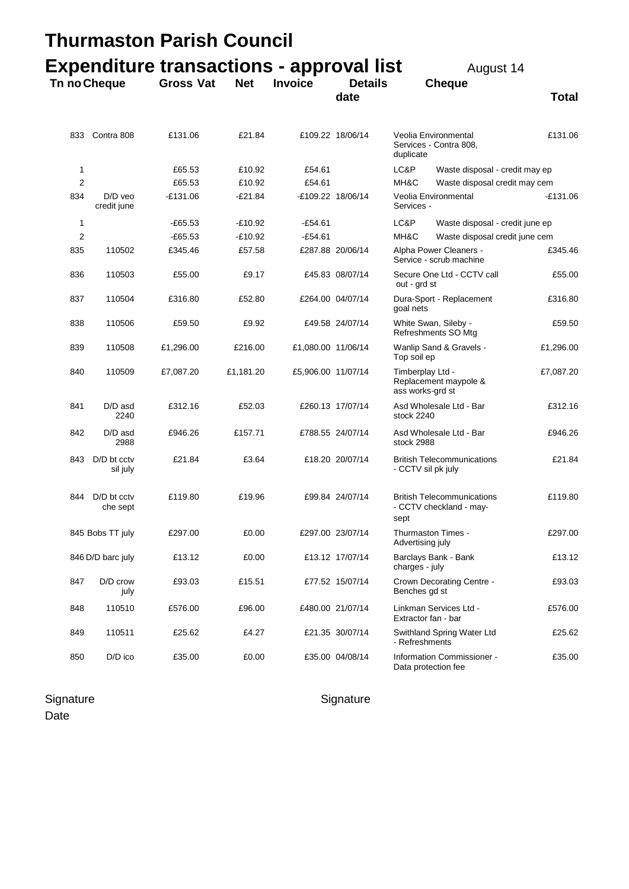|              |                          | Thurmaston Parish Council                       |            |                    |                        |                                                               |                                                              |            |
|--------------|--------------------------|-------------------------------------------------|------------|--------------------|------------------------|---------------------------------------------------------------|--------------------------------------------------------------|------------|
|              |                          | <b>Expenditure transactions - approval list</b> |            |                    |                        |                                                               | August 14                                                    |            |
| Tn no Cheque |                          | <b>Gross Vat</b>                                | <b>Net</b> | <b>Invoice</b>     | <b>Details</b><br>date |                                                               | <b>Cheque</b>                                                | Total      |
| 833          | Contra 808               | £131.06                                         | £21.84     |                    | £109.22 18/06/14       | duplicate                                                     | Veolia Environmental<br>Services - Contra 808,               | £131.06    |
| 1            |                          | £65.53                                          | £10.92     | £54.61             |                        | LC&P                                                          | Waste disposal - credit may ep                               |            |
| 2            |                          | £65.53                                          | £10.92     | £54.61             |                        | MH&C                                                          | Waste disposal credit may cem                                |            |
| 834          | $D/D$ veo<br>credit june | $-£131.06$                                      | $-£21.84$  |                    | -£109.22 18/06/14      | Services -                                                    | Veolia Environmental                                         | $-£131.06$ |
| 1            |                          | $-£65.53$                                       | $-£10.92$  | $-£54.61$          |                        | LC&P                                                          | Waste disposal - credit june ep                              |            |
| 2            |                          | $-E65.53$                                       | $-£10.92$  | $-£54.61$          |                        | MH&C                                                          | Waste disposal credit june cem                               |            |
| 835          | 110502                   | £345.46                                         | £57.58     |                    | £287.88 20/06/14       |                                                               | Alpha Power Cleaners -<br>Service - scrub machine            | £345.46    |
| 836          | 110503                   | £55.00                                          | £9.17      |                    | £45.83 08/07/14        | out - grd st                                                  | Secure One Ltd - CCTV call                                   | £55.00     |
| 837          | 110504                   | £316.80                                         | £52.80     |                    | £264.00 04/07/14       | goal nets                                                     | Dura-Sport - Replacement                                     | £316.80    |
| 838          | 110506                   | £59.50                                          | £9.92      |                    | £49.58 24/07/14        | White Swan, Sileby -<br>Refreshments SO Mtg                   |                                                              | £59.50     |
| 839          | 110508                   | £1,296.00                                       | £216.00    | £1,080.00 11/06/14 |                        | Wanlip Sand & Gravels -<br>Top soil ep                        |                                                              | £1,296.00  |
| 840          | 110509                   | £7,087.20                                       | £1,181.20  | £5,906.00 11/07/14 |                        | Timberplay Ltd -<br>Replacement maypole &<br>ass works-grd st |                                                              | £7,087.20  |
| 841          | $D/D$ asd<br>2240        | £312.16                                         | £52.03     |                    | £260.13 17/07/14       | stock 2240                                                    | Asd Wholesale Ltd - Bar                                      | £312.16    |
| 842          | D/D asd<br>2988          | £946.26                                         | £157.71    |                    | £788.55 24/07/14       | stock 2988                                                    | Asd Wholesale Ltd - Bar                                      | £946.26    |
| 843          | D/D bt cctv<br>sil july  | £21.84                                          | £3.64      |                    | £18.20 20/07/14        | <b>British Telecommunications</b><br>- CCTV sil pk july       |                                                              | £21.84     |
| 844          | D/D bt cctv<br>che sept  | £119.80                                         | £19.96     |                    | £99.84 24/07/14        | sept                                                          | <b>British Telecommunications</b><br>- CCTV checkland - may- | £119.80    |
|              | 845 Bobs TT july         | £297.00                                         | £0.00      |                    | £297.00 23/07/14       | Advertising july                                              | Thurmaston Times -                                           | £297.00    |
|              | 846 D/D barc july        | £13.12                                          | £0.00      |                    | £13.12 17/07/14        | charges - july                                                | Barclays Bank - Bank                                         | £13.12     |
| 847          | D/D crow<br>july         | £93.03                                          | £15.51     |                    | £77.52 15/07/14        | Benches gd st                                                 | Crown Decorating Centre -                                    | £93.03     |
| 848          | 110510                   | £576.00                                         | £96.00     |                    | £480.00 21/07/14       |                                                               | Linkman Services Ltd -<br>Extractor fan - bar                | £576.00    |
| 849          | 110511                   | £25.62                                          | £4.27      |                    | £21.35 30/07/14        | - Refreshments                                                | Swithland Spring Water Ltd                                   | £25.62     |
| 850          | D/D ico                  | £35.00                                          | £0.00      |                    | £35.00 04/08/14        |                                                               | Information Commissioner -<br>Data protection fee            | £35.00     |

## Signature Signature Signature Signature

Date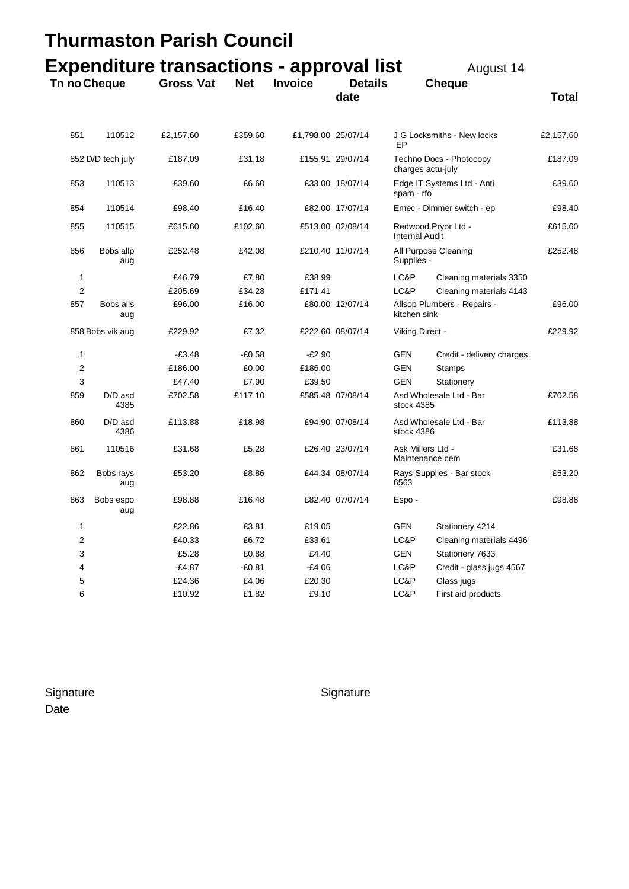|                         |                   | <b>Thurmaston Parish Council</b>                |            |                    |                        |                                              |                            |              |
|-------------------------|-------------------|-------------------------------------------------|------------|--------------------|------------------------|----------------------------------------------|----------------------------|--------------|
|                         |                   | <b>Expenditure transactions - approval list</b> |            |                    |                        |                                              | August 14                  |              |
| Tn no Cheque            |                   | <b>Gross Vat</b>                                | <b>Net</b> | <b>Invoice</b>     | <b>Details</b><br>date |                                              | <b>Cheque</b>              | <b>Total</b> |
| 851                     | 110512            | £2,157.60                                       | £359.60    | £1,798.00 25/07/14 |                        | EP                                           | J G Locksmiths - New locks | £2,157.60    |
|                         | 852 D/D tech july | £187.09                                         | £31.18     |                    | £155.91 29/07/14       | charges actu-july                            | Techno Docs - Photocopy    | £187.09      |
| 853                     | 110513            | £39.60                                          | £6.60      |                    | £33.00 18/07/14        | spam - rfo                                   | Edge IT Systems Ltd - Anti | £39.60       |
| 854                     | 110514            | £98.40                                          | £16.40     |                    | £82.00 17/07/14        |                                              | Emec - Dimmer switch - ep  | £98.40       |
| 855                     | 110515            | £615.60                                         | £102.60    |                    | £513.00 02/08/14       | Redwood Pryor Ltd -<br><b>Internal Audit</b> |                            | £615.60      |
| 856                     | Bobs allp<br>aug  | £252.48                                         | £42.08     |                    | £210.40 11/07/14       | Supplies -                                   | All Purpose Cleaning       | £252.48      |
| 1                       |                   | £46.79                                          | £7.80      | £38.99             |                        | LC&P                                         | Cleaning materials 3350    |              |
| 2                       |                   | £205.69                                         | £34.28     | £171.41            |                        | LC&P                                         | Cleaning materials 4143    |              |
| 857                     | Bobs alls<br>aug  | £96.00                                          | £16.00     |                    | £80.00 12/07/14        | Allsop Plumbers - Repairs -<br>kitchen sink  |                            | £96.00       |
|                         | 858 Bobs vik aug  | £229.92                                         | £7.32      |                    | £222.60 08/07/14       | Viking Direct -                              |                            | £229.92      |
| 1                       |                   | $-£3.48$                                        | -£0.58     | $-E2.90$           |                        | GEN                                          | Credit - delivery charges  |              |
| 2                       |                   | £186.00                                         | £0.00      | £186.00            |                        | GEN                                          | <b>Stamps</b>              |              |
| 3                       |                   | £47.40                                          | £7.90      | £39.50             |                        | GEN                                          | Stationery                 |              |
| 859                     | D/D asd<br>4385   | £702.58                                         | £117.10    |                    | £585.48 07/08/14       | Asd Wholesale Ltd - Bar<br>stock 4385        |                            | £702.58      |
| 860                     | D/D asd<br>4386   | £113.88                                         | £18.98     |                    | £94.90 07/08/14        | Asd Wholesale Ltd - Bar<br>stock 4386        |                            | £113.88      |
| 861                     | 110516            | £31.68                                          | £5.28      |                    | £26.40 23/07/14        | Ask Millers Ltd -<br>Maintenance cem         |                            | £31.68       |
| 862                     | Bobs rays<br>aug  | £53.20                                          | £8.86      |                    | £44.34 08/07/14        | Rays Supplies - Bar stock<br>6563            |                            | £53.20       |
| 863                     | Bobs espo<br>aug  | £98.88                                          | £16.48     |                    | £82.40 07/07/14        | Espo -                                       |                            | £98.88       |
| 1                       |                   | £22.86                                          | £3.81      | £19.05             |                        | GEN                                          | Stationery 4214            |              |
| $\overline{\mathbf{c}}$ |                   | £40.33                                          | £6.72      | £33.61             |                        | LC&P                                         | Cleaning materials 4496    |              |
| 3                       |                   | £5.28                                           | £0.88      | £4.40              |                        | GEN                                          | Stationery 7633            |              |
| 4                       |                   | $-£4.87$                                        | $-E0.81$   | $-£4.06$           |                        | LC&P                                         | Credit - glass jugs 4567   |              |
| 5                       |                   | £24.36                                          | £4.06      | £20.30             |                        | LC&P                                         | Glass jugs                 |              |
| 6                       |                   | £10.92                                          | £1.82      | £9.10              |                        | LC&P                                         | First aid products         |              |